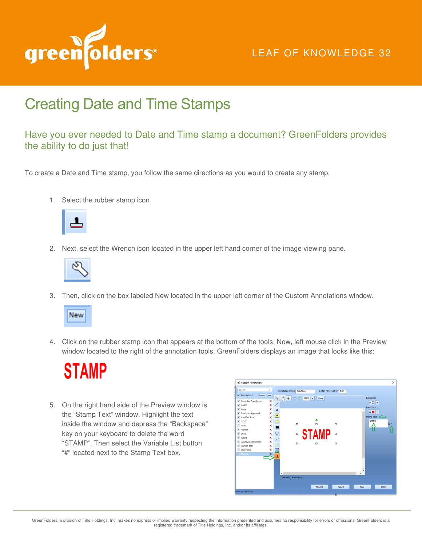

## LEAF OF KNOWLEDGE 32

## Creating Date and Time Stamps

## Have you ever needed to Date and Time stamp a document? GreenFolders provides the ability to do just that!

To create a Date and Time stamp, you follow the same directions as you would to create any stamp.

1. Select the rubber stamp icon.



2. Next, select the Wrench icon located in the upper left hand corner of the image viewing pane.



3. Then, click on the box labeled New located in the upper left corner of the Custom Annotations window.



4. Click on the rubber stamp icon that appears at the bottom of the tools. Now, left mouse click in the Preview window located to the right of the annotation tools. GreenFolders displays an image that looks like this:



5. On the right hand side of the Preview window is the "Stamp Text" window. Highlight the text inside the window and depress the "Backspace" key on your keyboard to delete the word "STAMP". Then select the Variable List button "#" located next to the Stamp Text box.